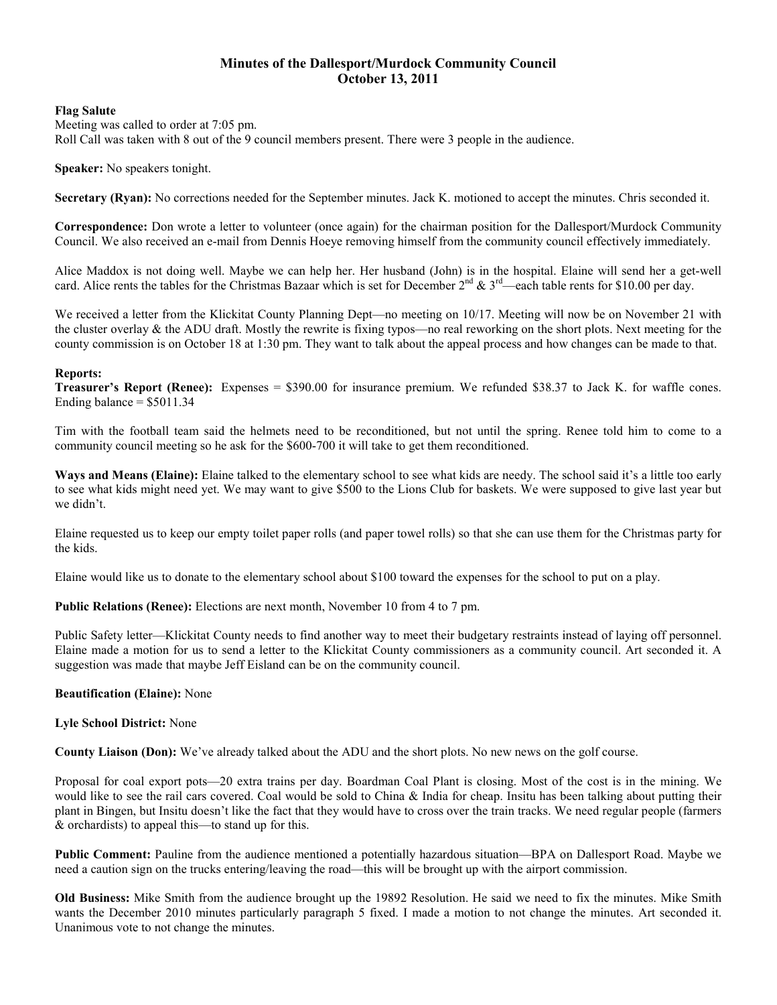# **Minutes of the Dallesport/Murdock Community Council October 13, 2011**

#### **Flag Salute**

Meeting was called to order at 7:05 pm. Roll Call was taken with 8 out of the 9 council members present. There were 3 people in the audience.

**Speaker:** No speakers tonight.

**Secretary (Ryan):** No corrections needed for the September minutes. Jack K. motioned to accept the minutes. Chris seconded it.

**Correspondence:** Don wrote a letter to volunteer (once again) for the chairman position for the Dallesport/Murdock Community Council. We also received an e-mail from Dennis Hoeye removing himself from the community council effectively immediately.

Alice Maddox is not doing well. Maybe we can help her. Her husband (John) is in the hospital. Elaine will send her a get-well card. Alice rents the tables for the Christmas Bazaar which is set for December  $2^{nd} \& 3^{rd}$ —each table rents for \$10.00 per day.

We received a letter from the Klickitat County Planning Dept—no meeting on 10/17. Meeting will now be on November 21 with the cluster overlay & the ADU draft. Mostly the rewrite is fixing typos—no real reworking on the short plots. Next meeting for the county commission is on October 18 at 1:30 pm. They want to talk about the appeal process and how changes can be made to that.

### **Reports:**

**Treasurer's Report (Renee):** Expenses = \$390.00 for insurance premium. We refunded \$38.37 to Jack K. for waffle cones. Ending balance  $= $5011.34$ 

Tim with the football team said the helmets need to be reconditioned, but not until the spring. Renee told him to come to a community council meeting so he ask for the \$600-700 it will take to get them reconditioned.

Ways and Means (Elaine): Elaine talked to the elementary school to see what kids are needy. The school said it's a little too early to see what kids might need yet. We may want to give \$500 to the Lions Club for baskets. We were supposed to give last year but we didn't.

Elaine requested us to keep our empty toilet paper rolls (and paper towel rolls) so that she can use them for the Christmas party for the kids.

Elaine would like us to donate to the elementary school about \$100 toward the expenses for the school to put on a play.

**Public Relations (Renee):** Elections are next month, November 10 from 4 to 7 pm.

Public Safety letter—Klickitat County needs to find another way to meet their budgetary restraints instead of laying off personnel. Elaine made a motion for us to send a letter to the Klickitat County commissioners as a community council. Art seconded it. A suggestion was made that maybe Jeff Eisland can be on the community council.

### **Beautification (Elaine):** None

### **Lyle School District:** None

**County Liaison (Don):** We've already talked about the ADU and the short plots. No new news on the golf course.

Proposal for coal export pots—20 extra trains per day. Boardman Coal Plant is closing. Most of the cost is in the mining. We would like to see the rail cars covered. Coal would be sold to China & India for cheap. Insitu has been talking about putting their plant in Bingen, but Insitu doesn't like the fact that they would have to cross over the train tracks. We need regular people (farmers & orchardists) to appeal this—to stand up for this.

**Public Comment:** Pauline from the audience mentioned a potentially hazardous situation—BPA on Dallesport Road. Maybe we need a caution sign on the trucks entering/leaving the road—this will be brought up with the airport commission.

**Old Business:** Mike Smith from the audience brought up the 19892 Resolution. He said we need to fix the minutes. Mike Smith wants the December 2010 minutes particularly paragraph 5 fixed. I made a motion to not change the minutes. Art seconded it. Unanimous vote to not change the minutes.